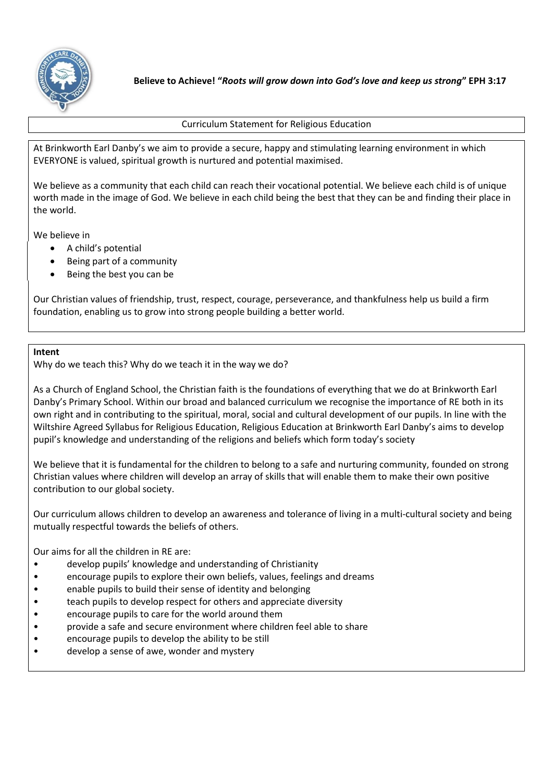

Curriculum Statement for Religious Education

At Brinkworth Earl Danby's we aim to provide a secure, happy and stimulating learning environment in which EVERYONE is valued, spiritual growth is nurtured and potential maximised.

We believe as a community that each child can reach their vocational potential. We believe each child is of unique worth made in the image of God. We believe in each child being the best that they can be and finding their place in the world.

We believe in

- A child's potential
- Being part of a community
- Being the best you can be

Our Christian values of friendship, trust, respect, courage, perseverance, and thankfulness help us build a firm foundation, enabling us to grow into strong people building a better world.

## **Intent**

Why do we teach this? Why do we teach it in the way we do?

As a Church of England School, the Christian faith is the foundations of everything that we do at Brinkworth Earl Danby's Primary School. Within our broad and balanced curriculum we recognise the importance of RE both in its own right and in contributing to the spiritual, moral, social and cultural development of our pupils. In line with the Wiltshire Agreed Syllabus for Religious Education, Religious Education at Brinkworth Earl Danby's aims to develop pupil's knowledge and understanding of the religions and beliefs which form today's society

We believe that it is fundamental for the children to belong to a safe and nurturing community, founded on strong Christian values where children will develop an array of skills that will enable them to make their own positive contribution to our global society.

Our curriculum allows children to develop an awareness and tolerance of living in a multi-cultural society and being mutually respectful towards the beliefs of others.

Our aims for all the children in RE are:

- develop pupils' knowledge and understanding of Christianity
- encourage pupils to explore their own beliefs, values, feelings and dreams
- enable pupils to build their sense of identity and belonging
- teach pupils to develop respect for others and appreciate diversity
- encourage pupils to care for the world around them
- provide a safe and secure environment where children feel able to share
- encourage pupils to develop the ability to be still
- develop a sense of awe, wonder and mystery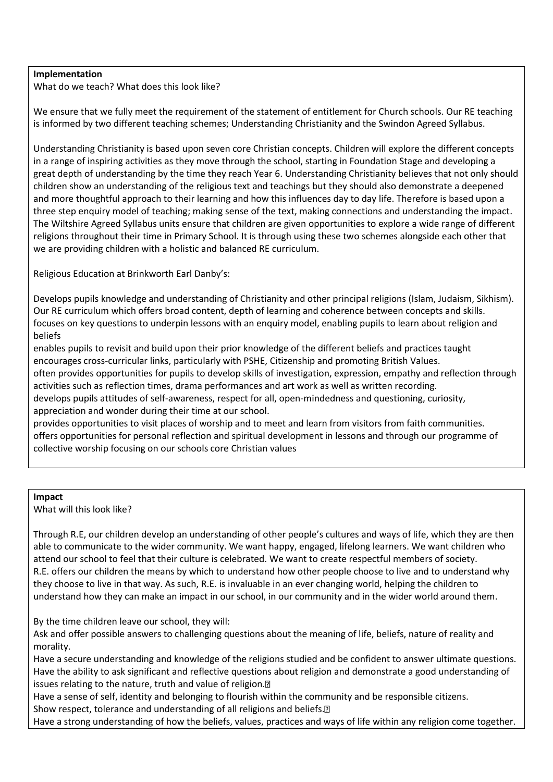## **Implementation**

What do we teach? What does this look like?

We ensure that we fully meet the requirement of the statement of entitlement for Church schools. Our RE teaching is informed by two different teaching schemes; Understanding Christianity and the Swindon Agreed Syllabus.

Understanding Christianity is based upon seven core Christian concepts. Children will explore the different concepts in a range of inspiring activities as they move through the school, starting in Foundation Stage and developing a great depth of understanding by the time they reach Year 6. Understanding Christianity believes that not only should children show an understanding of the religious text and teachings but they should also demonstrate a deepened and more thoughtful approach to their learning and how this influences day to day life. Therefore is based upon a three step enquiry model of teaching; making sense of the text, making connections and understanding the impact. The Wiltshire Agreed Syllabus units ensure that children are given opportunities to explore a wide range of different religions throughout their time in Primary School. It is through using these two schemes alongside each other that we are providing children with a holistic and balanced RE curriculum.

Religious Education at Brinkworth Earl Danby's:

Develops pupils knowledge and understanding of Christianity and other principal religions (Islam, Judaism, Sikhism). Our RE curriculum which offers broad content, depth of learning and coherence between concepts and skills. focuses on key questions to underpin lessons with an enquiry model, enabling pupils to learn about religion and beliefs

enables pupils to revisit and build upon their prior knowledge of the different beliefs and practices taught encourages cross-curricular links, particularly with PSHE, Citizenship and promoting British Values. often provides opportunities for pupils to develop skills of investigation, expression, empathy and reflection through activities such as reflection times, drama performances and art work as well as written recording.

develops pupils attitudes of self-awareness, respect for all, open-mindedness and questioning, curiosity, appreciation and wonder during their time at our school.

provides opportunities to visit places of worship and to meet and learn from visitors from faith communities. offers opportunities for personal reflection and spiritual development in lessons and through our programme of collective worship focusing on our schools core Christian values

## **Impact**

What will this look like?

Through R.E, our children develop an understanding of other people's cultures and ways of life, which they are then able to communicate to the wider community. We want happy, engaged, lifelong learners. We want children who attend our school to feel that their culture is celebrated. We want to create respectful members of society. R.E. offers our children the means by which to understand how other people choose to live and to understand why they choose to live in that way. As such, R.E. is invaluable in an ever changing world, helping the children to understand how they can make an impact in our school, in our community and in the wider world around them.

By the time children leave our school, they will:

Ask and offer possible answers to challenging questions about the meaning of life, beliefs, nature of reality and morality.

Have a secure understanding and knowledge of the religions studied and be confident to answer ultimate questions. Have the ability to ask significant and reflective questions about religion and demonstrate a good understanding of issues relating to the nature, truth and value of religion.<sup>[7]</sup>

Have a sense of self, identity and belonging to flourish within the community and be responsible citizens. Show respect, tolerance and understanding of all religions and beliefs.<sup>[2]</sup>

Have a strong understanding of how the beliefs, values, practices and ways of life within any religion come together.